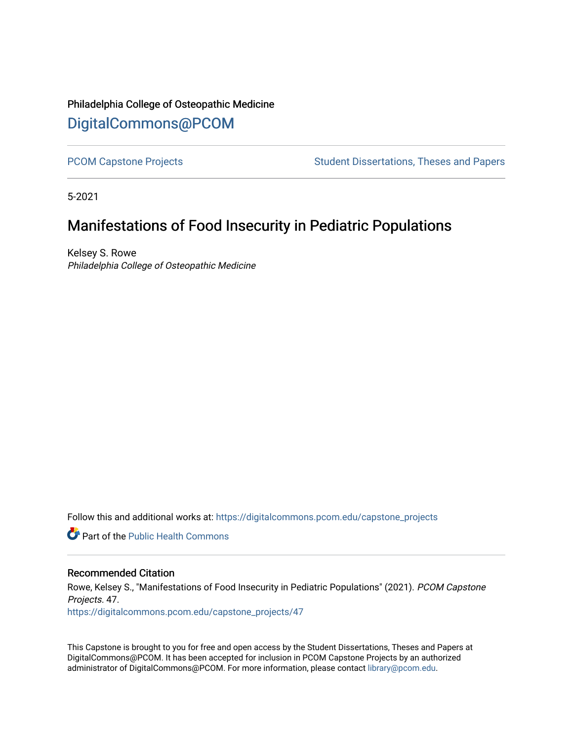# Philadelphia College of Osteopathic Medicine [DigitalCommons@PCOM](https://digitalcommons.pcom.edu/)

[PCOM Capstone Projects](https://digitalcommons.pcom.edu/capstone_projects) **Student Dissertations, Theses and Papers** Student Dissertations, Theses and Papers

5-2021

# Manifestations of Food Insecurity in Pediatric Populations

Kelsey S. Rowe Philadelphia College of Osteopathic Medicine

Follow this and additional works at: [https://digitalcommons.pcom.edu/capstone\\_projects](https://digitalcommons.pcom.edu/capstone_projects?utm_source=digitalcommons.pcom.edu%2Fcapstone_projects%2F47&utm_medium=PDF&utm_campaign=PDFCoverPages)

**C** Part of the Public Health Commons

#### Recommended Citation

Rowe, Kelsey S., "Manifestations of Food Insecurity in Pediatric Populations" (2021). PCOM Capstone Projects. 47. [https://digitalcommons.pcom.edu/capstone\\_projects/47](https://digitalcommons.pcom.edu/capstone_projects/47?utm_source=digitalcommons.pcom.edu%2Fcapstone_projects%2F47&utm_medium=PDF&utm_campaign=PDFCoverPages) 

This Capstone is brought to you for free and open access by the Student Dissertations, Theses and Papers at DigitalCommons@PCOM. It has been accepted for inclusion in PCOM Capstone Projects by an authorized administrator of DigitalCommons@PCOM. For more information, please contact [library@pcom.edu.](mailto:library@pcom.edu)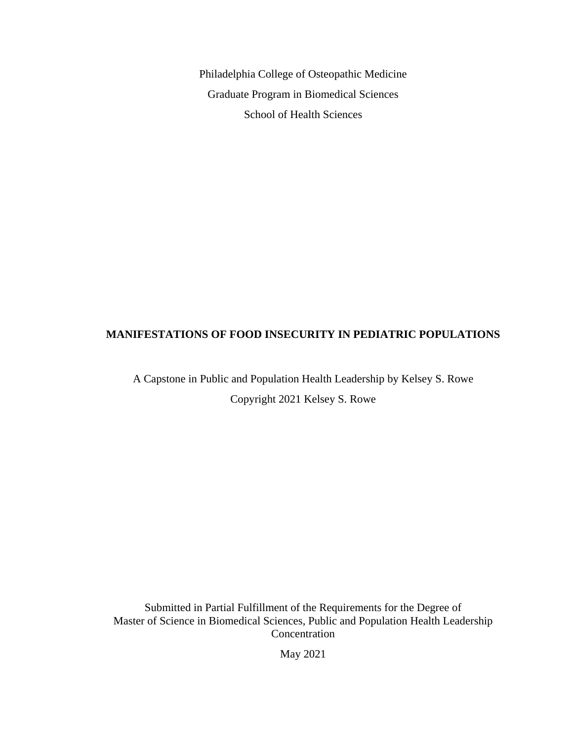Philadelphia College of Osteopathic Medicine Graduate Program in Biomedical Sciences School of Health Sciences

### **MANIFESTATIONS OF FOOD INSECURITY IN PEDIATRIC POPULATIONS**

A Capstone in Public and Population Health Leadership by Kelsey S. Rowe Copyright 2021 Kelsey S. Rowe

Submitted in Partial Fulfillment of the Requirements for the Degree of Master of Science in Biomedical Sciences, Public and Population Health Leadership Concentration

May 2021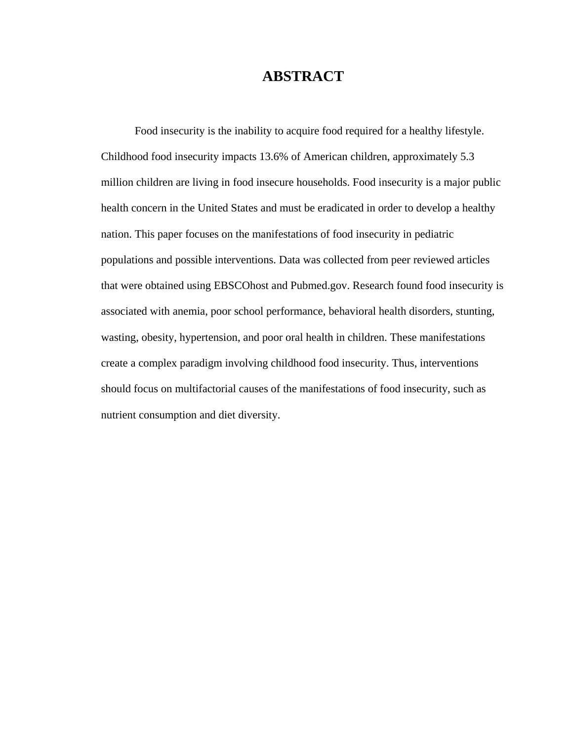## **ABSTRACT**

Food insecurity is the inability to acquire food required for a healthy lifestyle. Childhood food insecurity impacts 13.6% of American children, approximately 5.3 million children are living in food insecure households. Food insecurity is a major public health concern in the United States and must be eradicated in order to develop a healthy nation. This paper focuses on the manifestations of food insecurity in pediatric populations and possible interventions. Data was collected from peer reviewed articles that were obtained using EBSCOhost and Pubmed.gov. Research found food insecurity is associated with anemia, poor school performance, behavioral health disorders, stunting, wasting, obesity, hypertension, and poor oral health in children. These manifestations create a complex paradigm involving childhood food insecurity. Thus, interventions should focus on multifactorial causes of the manifestations of food insecurity, such as nutrient consumption and diet diversity.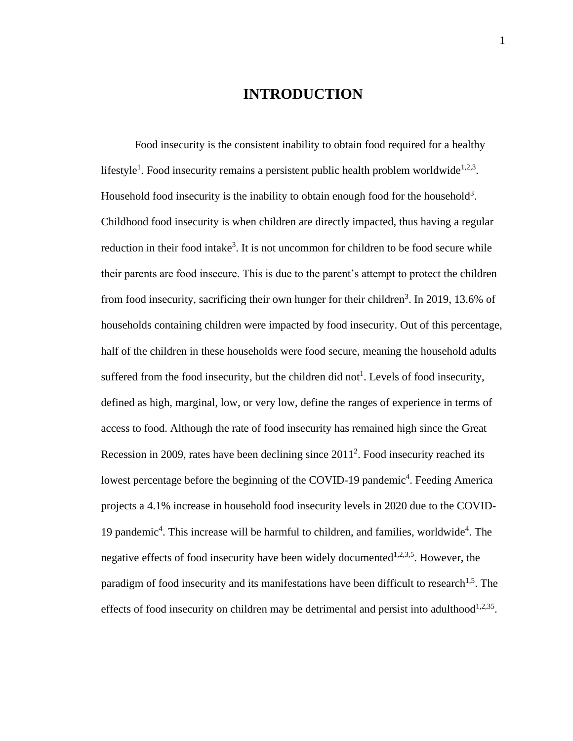## **INTRODUCTION**

Food insecurity is the consistent inability to obtain food required for a healthy lifestyle<sup>1</sup>. Food insecurity remains a persistent public health problem worldwide<sup>1,2,3</sup>. Household food insecurity is the inability to obtain enough food for the household<sup>3</sup>. Childhood food insecurity is when children are directly impacted, thus having a regular reduction in their food intake<sup>3</sup>. It is not uncommon for children to be food secure while their parents are food insecure. This is due to the parent's attempt to protect the children from food insecurity, sacrificing their own hunger for their children<sup>3</sup>. In 2019, 13.6% of households containing children were impacted by food insecurity. Out of this percentage, half of the children in these households were food secure, meaning the household adults suffered from the food insecurity, but the children did not<sup>1</sup>. Levels of food insecurity, defined as high, marginal, low, or very low, define the ranges of experience in terms of access to food. Although the rate of food insecurity has remained high since the Great Recession in 2009, rates have been declining since  $2011<sup>2</sup>$ . Food insecurity reached its lowest percentage before the beginning of the COVID-19 pandemic<sup>4</sup>. Feeding America projects a 4.1% increase in household food insecurity levels in 2020 due to the COVID-19 pandemic<sup>4</sup>. This increase will be harmful to children, and families, worldwide<sup>4</sup>. The negative effects of food insecurity have been widely documented<sup>1,2,3,5</sup>. However, the paradigm of food insecurity and its manifestations have been difficult to research<sup>1,5</sup>. The effects of food insecurity on children may be detrimental and persist into adulthood<sup>1,2,35</sup>.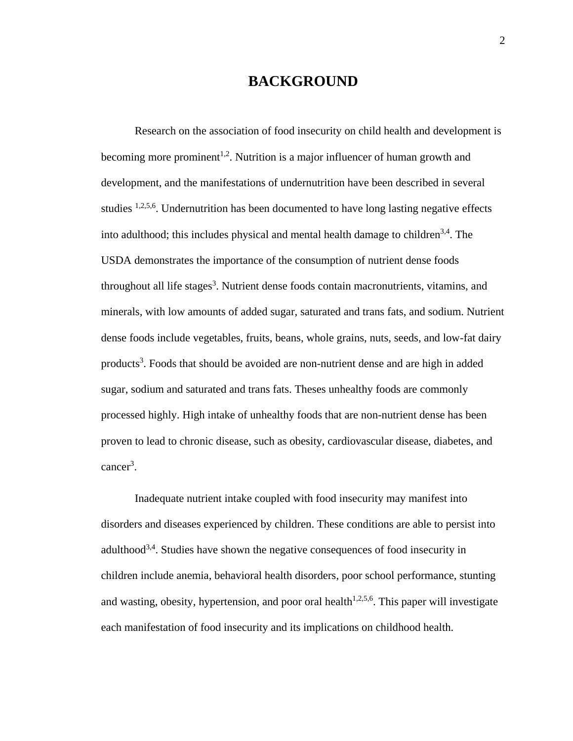## **BACKGROUND**

Research on the association of food insecurity on child health and development is becoming more prominent<sup>1,2</sup>. Nutrition is a major influencer of human growth and development, and the manifestations of undernutrition have been described in several studies  $1,2,5,6$ . Undernutrition has been documented to have long lasting negative effects into adulthood; this includes physical and mental health damage to children $3,4$ . The USDA demonstrates the importance of the consumption of nutrient dense foods throughout all life stages<sup>3</sup>. Nutrient dense foods contain macronutrients, vitamins, and minerals, with low amounts of added sugar, saturated and trans fats, and sodium. Nutrient dense foods include vegetables, fruits, beans, whole grains, nuts, seeds, and low-fat dairy products<sup>3</sup>. Foods that should be avoided are non-nutrient dense and are high in added sugar, sodium and saturated and trans fats. Theses unhealthy foods are commonly processed highly. High intake of unhealthy foods that are non-nutrient dense has been proven to lead to chronic disease, such as obesity, cardiovascular disease, diabetes, and cancer<sup>3</sup>.

Inadequate nutrient intake coupled with food insecurity may manifest into disorders and diseases experienced by children. These conditions are able to persist into adulthood<sup>3,4</sup>. Studies have shown the negative consequences of food insecurity in children include anemia, behavioral health disorders, poor school performance, stunting and wasting, obesity, hypertension, and poor oral health $1,2,5,6$ . This paper will investigate each manifestation of food insecurity and its implications on childhood health.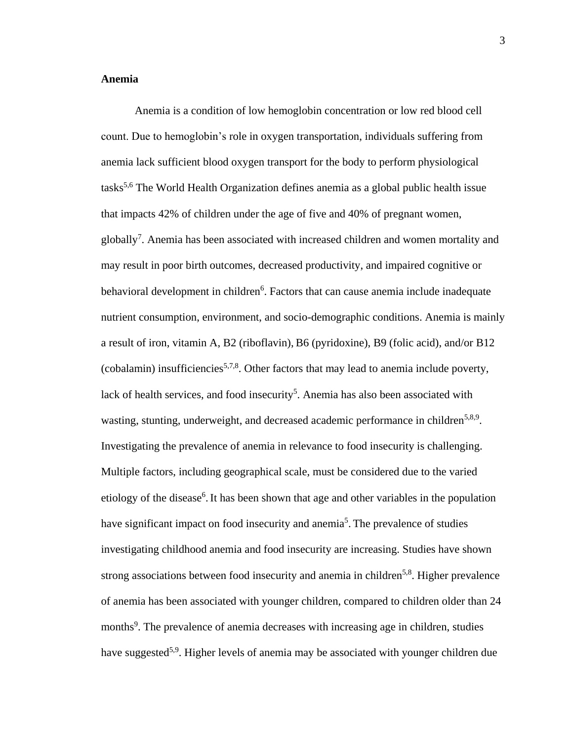### **Anemia**

Anemia is a condition of low hemoglobin concentration or low red blood cell count. Due to hemoglobin's role in oxygen transportation, individuals suffering from anemia lack sufficient blood oxygen transport for the body to perform physiological tasks 5,6 The World Health Organization defines anemia as a global public health issue that impacts 42% of children under the age of five and 40% of pregnant women, globally<sup>7</sup>. Anemia has been associated with increased children and women mortality and may result in poor birth outcomes, decreased productivity, and impaired cognitive or behavioral development in children<sup>6</sup>. Factors that can cause anemia include inadequate nutrient consumption, environment, and socio-demographic conditions. Anemia is mainly a result of iron, vitamin A, B2 (riboflavin), B6 (pyridoxine), B9 (folic acid), and/or B12 (cobalamin) insufficiencies<sup>5,7,8</sup>. Other factors that may lead to anemia include poverty, lack of health services, and food insecurity<sup>5</sup>. Anemia has also been associated with wasting, stunting, underweight, and decreased academic performance in children<sup>5,8,9</sup>. Investigating the prevalence of anemia in relevance to food insecurity is challenging. Multiple factors, including geographical scale, must be considered due to the varied etiology of the disease<sup>6</sup>. It has been shown that age and other variables in the population have significant impact on food insecurity and anemia<sup>5</sup>. The prevalence of studies investigating childhood anemia and food insecurity are increasing. Studies have shown strong associations between food insecurity and anemia in children<sup>5,8</sup>. Higher prevalence of anemia has been associated with younger children, compared to children older than 24 months<sup>9</sup>. The prevalence of anemia decreases with increasing age in children, studies have suggested<sup>5,9</sup>. Higher levels of anemia may be associated with younger children due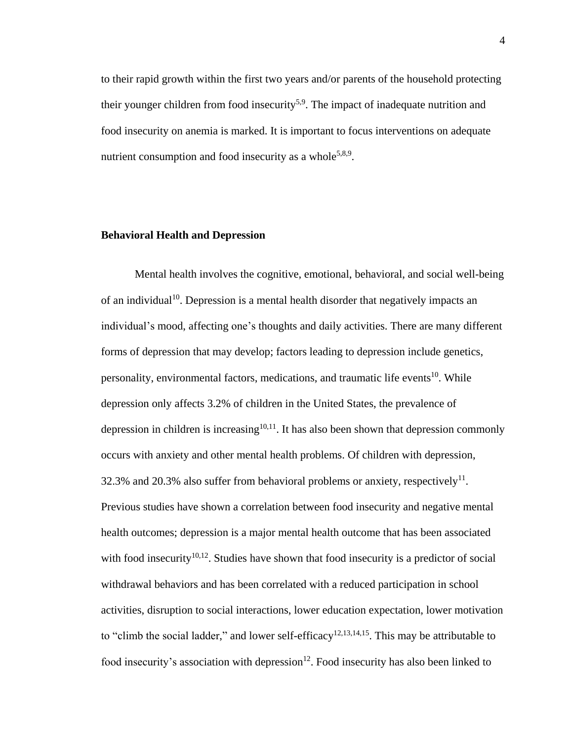to their rapid growth within the first two years and/or parents of the household protecting their younger children from food insecurity<sup>5,9</sup>. The impact of inadequate nutrition and food insecurity on anemia is marked. It is important to focus interventions on adequate nutrient consumption and food insecurity as a whole<sup>5,8,9</sup>.

### **Behavioral Health and Depression**

Mental health involves the cognitive, emotional, behavioral, and social well-being of an individual<sup>10</sup>. Depression is a mental health disorder that negatively impacts an individual's mood, affecting one's thoughts and daily activities. There are many different forms of depression that may develop; factors leading to depression include genetics, personality, environmental factors, medications, and traumatic life events<sup>10</sup>. While depression only affects 3.2% of children in the United States, the prevalence of depression in children is increasing $10,11$ . It has also been shown that depression commonly occurs with anxiety and other mental health problems. Of children with depression, 32.3% and 20.3% also suffer from behavioral problems or anxiety, respectively<sup>11</sup>. Previous studies have shown a correlation between food insecurity and negative mental health outcomes; depression is a major mental health outcome that has been associated with food insecurity<sup>10,12</sup>. Studies have shown that food insecurity is a predictor of social withdrawal behaviors and has been correlated with a reduced participation in school activities, disruption to social interactions, lower education expectation, lower motivation to "climb the social ladder," and lower self-efficacy<sup>12,13,14,15</sup>. This may be attributable to food insecurity's association with depression<sup>12</sup>. Food insecurity has also been linked to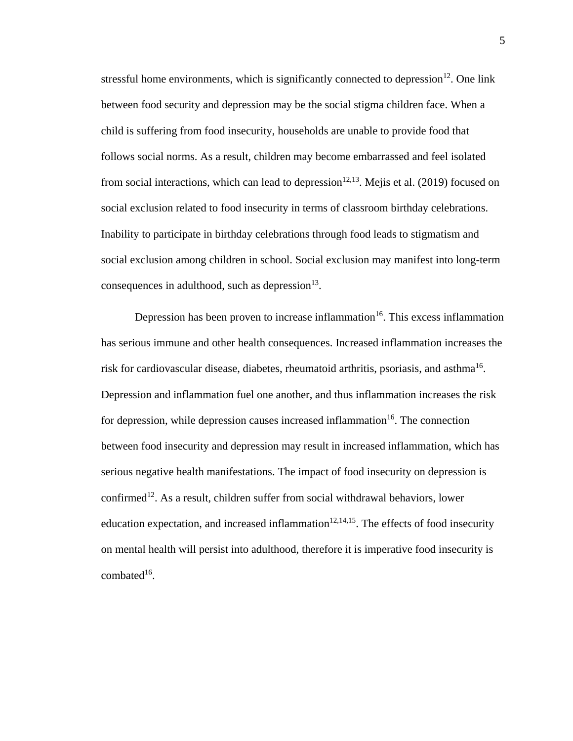stressful home environments, which is significantly connected to depression $12$ . One link between food security and depression may be the social stigma children face. When a child is suffering from food insecurity, households are unable to provide food that follows social norms. As a result, children may become embarrassed and feel isolated from social interactions, which can lead to depression $12,13$ . Mejis et al. (2019) focused on social exclusion related to food insecurity in terms of classroom birthday celebrations. Inability to participate in birthday celebrations through food leads to stigmatism and social exclusion among children in school. Social exclusion may manifest into long-term consequences in adulthood, such as depression $^{13}$ .

Depression has been proven to increase inflammation<sup>16</sup>. This excess inflammation has serious immune and other health consequences. Increased inflammation increases the risk for cardiovascular disease, diabetes, rheumatoid arthritis, psoriasis, and asthma<sup>16</sup>. Depression and inflammation fuel one another, and thus inflammation increases the risk for depression, while depression causes increased inflammation<sup>16</sup>. The connection between food insecurity and depression may result in increased inflammation, which has serious negative health manifestations. The impact of food insecurity on depression is confirmed<sup>12</sup>. As a result, children suffer from social withdrawal behaviors, lower education expectation, and increased inflammation $12,14,15$ . The effects of food insecurity on mental health will persist into adulthood, therefore it is imperative food insecurity is  $combined^{16}$ .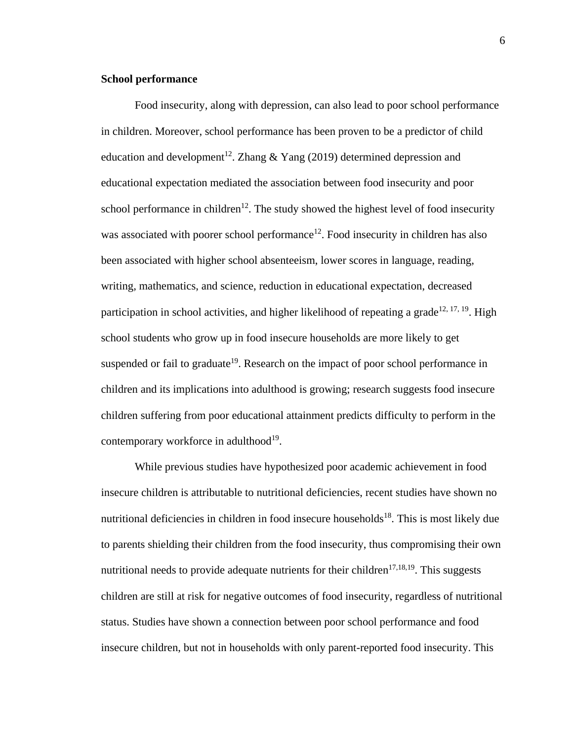### **School performance**

Food insecurity, along with depression, can also lead to poor school performance in children. Moreover, school performance has been proven to be a predictor of child education and development<sup>12</sup>. Zhang  $&$  Yang (2019) determined depression and educational expectation mediated the association between food insecurity and poor school performance in children<sup>12</sup>. The study showed the highest level of food insecurity was associated with poorer school performance<sup>12</sup>. Food insecurity in children has also been associated with higher school absenteeism, lower scores in language, reading, writing, mathematics, and science, reduction in educational expectation, decreased participation in school activities, and higher likelihood of repeating a grade<sup>12, 17, 19</sup>. High school students who grow up in food insecure households are more likely to get suspended or fail to graduate<sup>19</sup>. Research on the impact of poor school performance in children and its implications into adulthood is growing; research suggests food insecure children suffering from poor educational attainment predicts difficulty to perform in the contemporary workforce in adulthood<sup>19</sup>.

While previous studies have hypothesized poor academic achievement in food insecure children is attributable to nutritional deficiencies, recent studies have shown no nutritional deficiencies in children in food insecure households<sup>18</sup>. This is most likely due to parents shielding their children from the food insecurity, thus compromising their own nutritional needs to provide adequate nutrients for their children<sup>17,18,19</sup>. This suggests children are still at risk for negative outcomes of food insecurity, regardless of nutritional status. Studies have shown a connection between poor school performance and food insecure children, but not in households with only parent-reported food insecurity. This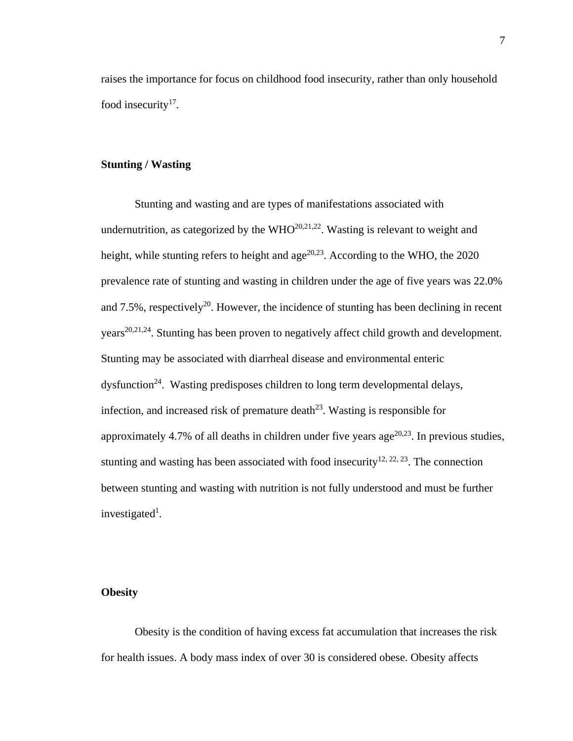raises the importance for focus on childhood food insecurity, rather than only household food insecurity $17$ .

### **Stunting / Wasting**

Stunting and wasting and are types of manifestations associated with undernutrition, as categorized by the  $WHO^{20,21,22}$ . Wasting is relevant to weight and height, while stunting refers to height and  $age^{20,23}$ . According to the WHO, the 2020 prevalence rate of stunting and wasting in children under the age of five years was 22.0% and  $7.5\%$ , respectively<sup>20</sup>. However, the incidence of stunting has been declining in recent years<sup>20,21,24</sup>. Stunting has been proven to negatively affect child growth and development. Stunting may be associated with diarrheal disease and environmental enteric dysfunction<sup>24</sup>. Wasting predisposes children to long term developmental delays, infection, and increased risk of premature death<sup>23</sup>. Wasting is responsible for approximately 4.7% of all deaths in children under five years age<sup>20,23</sup>. In previous studies, stunting and wasting has been associated with food insecurity<sup>12, 22, 23</sup>. The connection between stunting and wasting with nutrition is not fully understood and must be further investigated<sup>1</sup>.

### **Obesity**

Obesity is the condition of having excess fat accumulation that increases the risk for health issues. A body mass index of over 30 is considered obese. Obesity affects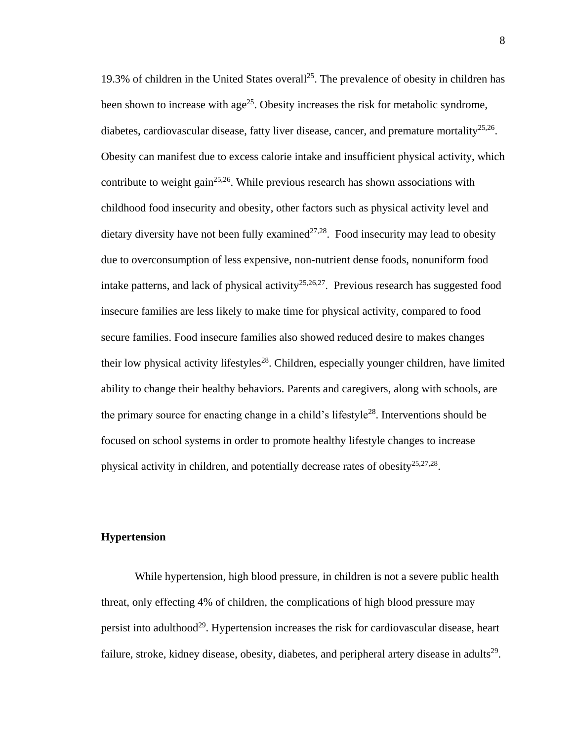19.3% of children in the United States overall<sup>25</sup>. The prevalence of obesity in children has been shown to increase with age<sup>25</sup>. Obesity increases the risk for metabolic syndrome, diabetes, cardiovascular disease, fatty liver disease, cancer, and premature mortality<sup>25,26</sup>. Obesity can manifest due to excess calorie intake and insufficient physical activity, which contribute to weight gain<sup>25,26</sup>. While previous research has shown associations with childhood food insecurity and obesity, other factors such as physical activity level and dietary diversity have not been fully examined<sup>27,28</sup>. Food insecurity may lead to obesity due to overconsumption of less expensive, non-nutrient dense foods, nonuniform food intake patterns, and lack of physical activity<sup>25,26,27</sup>. Previous research has suggested food insecure families are less likely to make time for physical activity, compared to food secure families. Food insecure families also showed reduced desire to makes changes their low physical activity lifestyles<sup>28</sup>. Children, especially younger children, have limited ability to change their healthy behaviors. Parents and caregivers, along with schools, are the primary source for enacting change in a child's lifestyle<sup>28</sup>. Interventions should be focused on school systems in order to promote healthy lifestyle changes to increase physical activity in children, and potentially decrease rates of obesity<sup>25,27,28</sup>.

#### **Hypertension**

While hypertension, high blood pressure, in children is not a severe public health threat, only effecting 4% of children, the complications of high blood pressure may persist into adulthood<sup>29</sup>. Hypertension increases the risk for cardiovascular disease, heart failure, stroke, kidney disease, obesity, diabetes, and peripheral artery disease in adults<sup>29</sup>.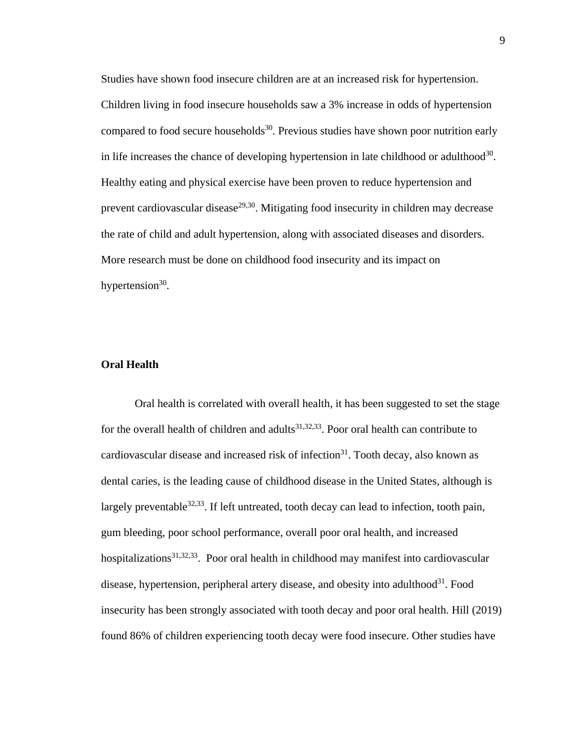Studies have shown food insecure children are at an increased risk for hypertension. Children living in food insecure households saw a 3% increase in odds of hypertension compared to food secure households<sup>30</sup>. Previous studies have shown poor nutrition early in life increases the chance of developing hypertension in late childhood or adulthood<sup>30</sup>. Healthy eating and physical exercise have been proven to reduce hypertension and prevent cardiovascular disease<sup>29,30</sup>. Mitigating food insecurity in children may decrease the rate of child and adult hypertension, along with associated diseases and disorders. More research must be done on childhood food insecurity and its impact on hypertension $30$ .

### **Oral Health**

Oral health is correlated with overall health, it has been suggested to set the stage for the overall health of children and adults<sup>31,32,33</sup>. Poor oral health can contribute to cardiovascular disease and increased risk of infection<sup>31</sup>. Tooth decay, also known as dental caries, is the leading cause of childhood disease in the United States, although is largely preventable  $32,33$ . If left untreated, tooth decay can lead to infection, tooth pain, gum bleeding, poor school performance, overall poor oral health, and increased hospitalizations<sup>31,32,33</sup>. Poor oral health in childhood may manifest into cardiovascular disease, hypertension, peripheral artery disease, and obesity into adulthood<sup>31</sup>. Food insecurity has been strongly associated with tooth decay and poor oral health. Hill (2019) found 86% of children experiencing tooth decay were food insecure. Other studies have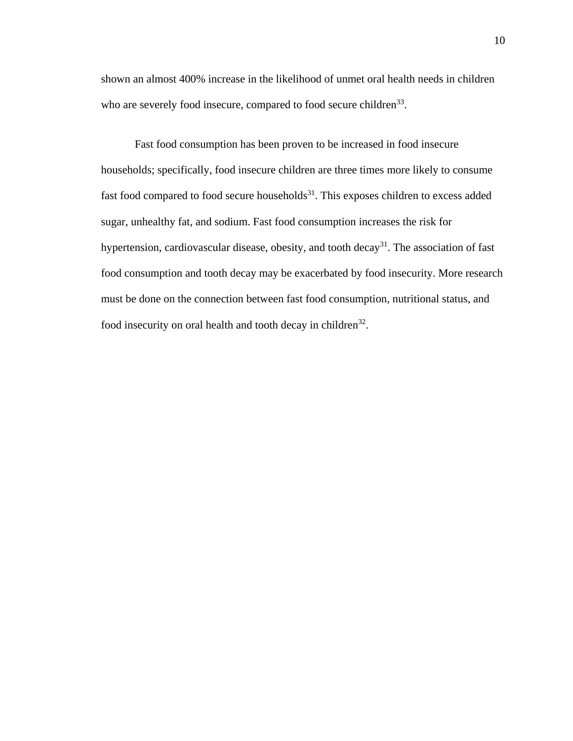shown an almost 400% increase in the likelihood of unmet oral health needs in children who are severely food insecure, compared to food secure children<sup>33</sup>.

Fast food consumption has been proven to be increased in food insecure households; specifically, food insecure children are three times more likely to consume fast food compared to food secure households $31$ . This exposes children to excess added sugar, unhealthy fat, and sodium. Fast food consumption increases the risk for hypertension, cardiovascular disease, obesity, and tooth decay<sup>31</sup>. The association of fast food consumption and tooth decay may be exacerbated by food insecurity. More research must be done on the connection between fast food consumption, nutritional status, and food insecurity on oral health and tooth decay in children<sup>32</sup>.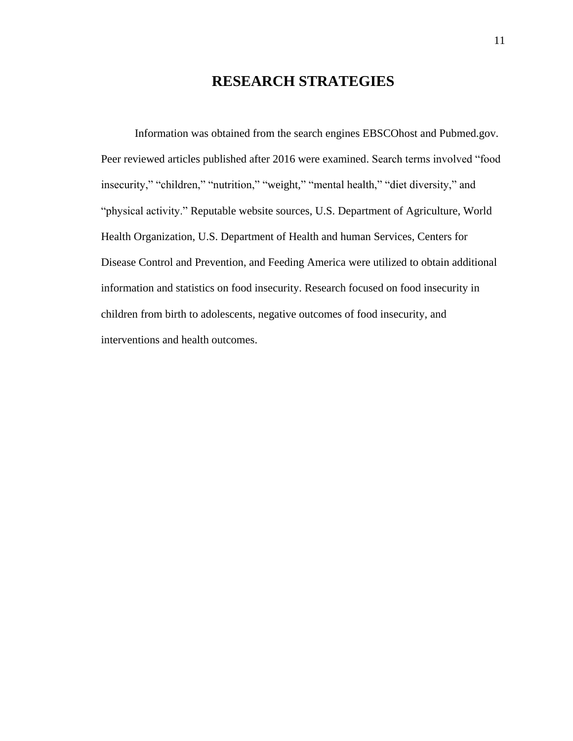## **RESEARCH STRATEGIES**

Information was obtained from the search engines EBSCOhost and Pubmed.gov. Peer reviewed articles published after 2016 were examined. Search terms involved "food insecurity," "children," "nutrition," "weight," "mental health," "diet diversity," and "physical activity." Reputable website sources, U.S. Department of Agriculture, World Health Organization, U.S. Department of Health and human Services, Centers for Disease Control and Prevention, and Feeding America were utilized to obtain additional information and statistics on food insecurity. Research focused on food insecurity in children from birth to adolescents, negative outcomes of food insecurity, and interventions and health outcomes.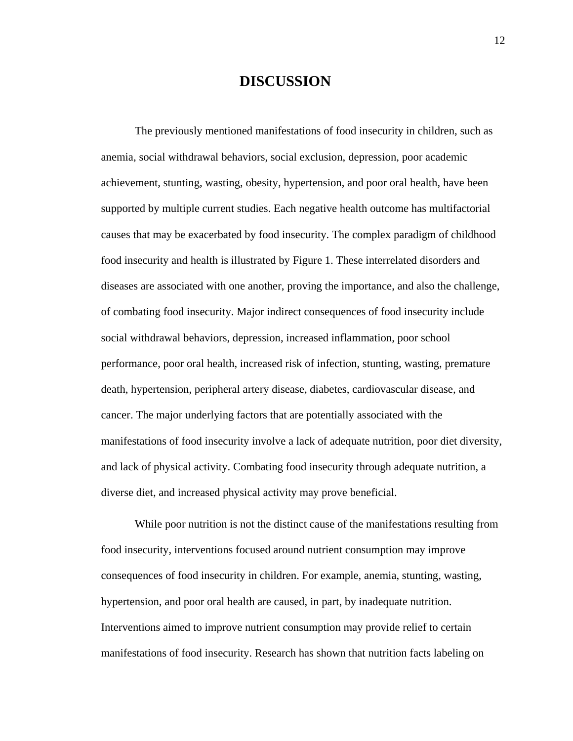## **DISCUSSION**

The previously mentioned manifestations of food insecurity in children, such as anemia, social withdrawal behaviors, social exclusion, depression, poor academic achievement, stunting, wasting, obesity, hypertension, and poor oral health, have been supported by multiple current studies. Each negative health outcome has multifactorial causes that may be exacerbated by food insecurity. The complex paradigm of childhood food insecurity and health is illustrated by Figure 1. These interrelated disorders and diseases are associated with one another, proving the importance, and also the challenge, of combating food insecurity. Major indirect consequences of food insecurity include social withdrawal behaviors, depression, increased inflammation, poor school performance, poor oral health, increased risk of infection, stunting, wasting, premature death, hypertension, peripheral artery disease, diabetes, cardiovascular disease, and cancer. The major underlying factors that are potentially associated with the manifestations of food insecurity involve a lack of adequate nutrition, poor diet diversity, and lack of physical activity. Combating food insecurity through adequate nutrition, a diverse diet, and increased physical activity may prove beneficial.

While poor nutrition is not the distinct cause of the manifestations resulting from food insecurity, interventions focused around nutrient consumption may improve consequences of food insecurity in children. For example, anemia, stunting, wasting, hypertension, and poor oral health are caused, in part, by inadequate nutrition. Interventions aimed to improve nutrient consumption may provide relief to certain manifestations of food insecurity. Research has shown that nutrition facts labeling on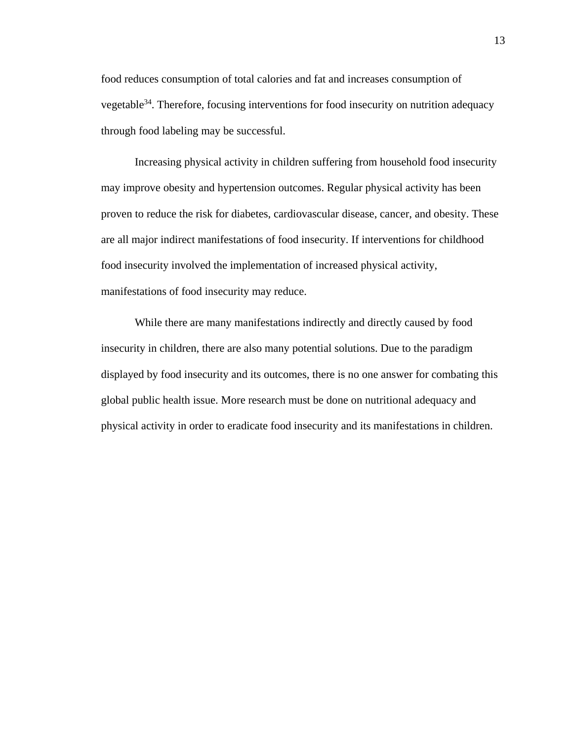food reduces consumption of total calories and fat and increases consumption of vegetable<sup>34</sup>. Therefore, focusing interventions for food insecurity on nutrition adequacy through food labeling may be successful.

Increasing physical activity in children suffering from household food insecurity may improve obesity and hypertension outcomes. Regular physical activity has been proven to reduce the risk for diabetes, cardiovascular disease, cancer, and obesity. These are all major indirect manifestations of food insecurity. If interventions for childhood food insecurity involved the implementation of increased physical activity, manifestations of food insecurity may reduce.

While there are many manifestations indirectly and directly caused by food insecurity in children, there are also many potential solutions. Due to the paradigm displayed by food insecurity and its outcomes, there is no one answer for combating this global public health issue. More research must be done on nutritional adequacy and physical activity in order to eradicate food insecurity and its manifestations in children.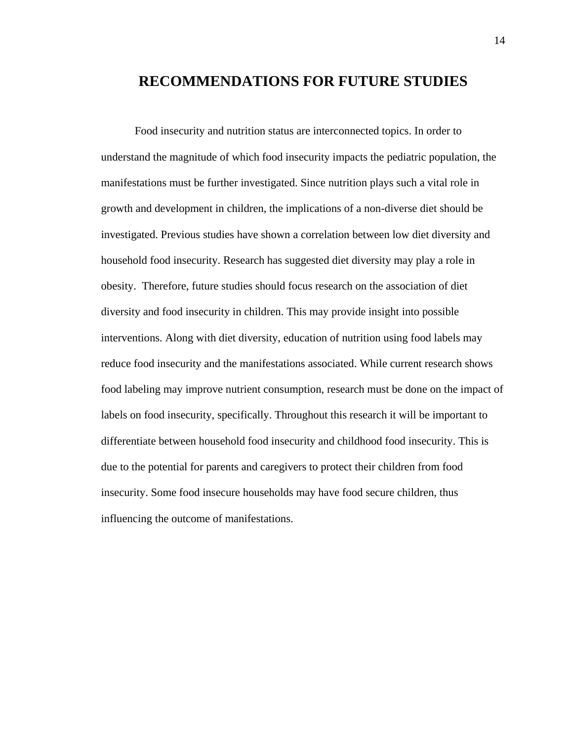## **RECOMMENDATIONS FOR FUTURE STUDIES**

Food insecurity and nutrition status are interconnected topics. In order to understand the magnitude of which food insecurity impacts the pediatric population, the manifestations must be further investigated. Since nutrition plays such a vital role in growth and development in children, the implications of a non-diverse diet should be investigated. Previous studies have shown a correlation between low diet diversity and household food insecurity. Research has suggested diet diversity may play a role in obesity. Therefore, future studies should focus research on the association of diet diversity and food insecurity in children. This may provide insight into possible interventions. Along with diet diversity, education of nutrition using food labels may reduce food insecurity and the manifestations associated. While current research shows food labeling may improve nutrient consumption, research must be done on the impact of labels on food insecurity, specifically. Throughout this research it will be important to differentiate between household food insecurity and childhood food insecurity. This is due to the potential for parents and caregivers to protect their children from food insecurity. Some food insecure households may have food secure children, thus influencing the outcome of manifestations.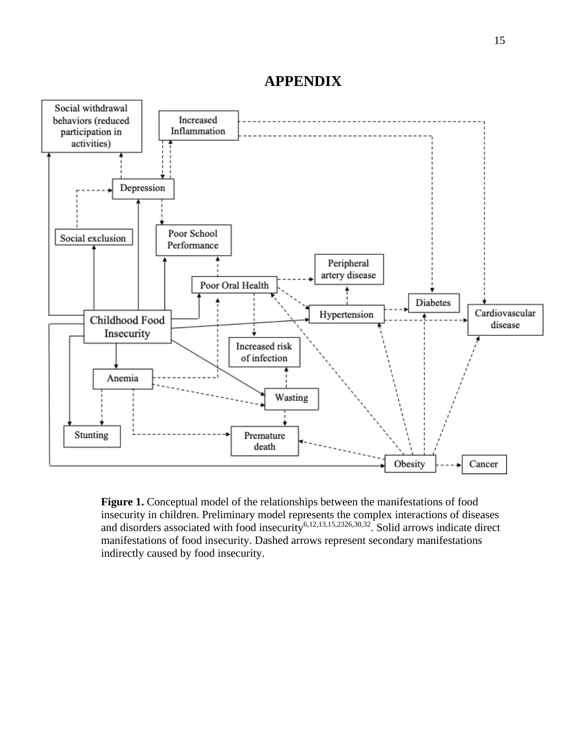## **APPENDIX**



**Figure 1.** Conceptual model of the relationships between the manifestations of food insecurity in children. Preliminary model represents the complex interactions of diseases and disorders associated with food insecurity<sup>6,12,13,15,2326,30,32</sup>. Solid arrows indicate direct manifestations of food insecurity. Dashed arrows represent secondary manifestations indirectly caused by food insecurity.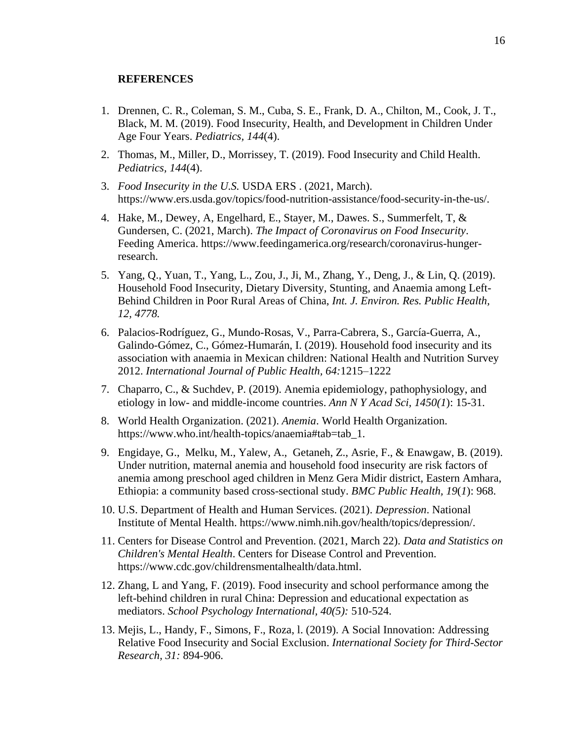### **REFERENCES**

- 1. Drennen, C. R., Coleman, S. M., Cuba, S. E., Frank, D. A., Chilton, M., Cook, J. T., Black, M. M. (2019). Food Insecurity, Health, and Development in Children Under Age Four Years. *Pediatrics, 144*(4).
- 2. Thomas, M., Miller, D., Morrissey, T. (2019). Food Insecurity and Child Health. *Pediatrics, 144*(4).
- 3. *Food Insecurity in the U.S.* USDA ERS . (2021, March). https://www.ers.usda.gov/topics/food-nutrition-assistance/food-security-in-the-us/.
- 4. Hake, M., Dewey, A, Engelhard, E., Stayer, M., Dawes. S., Summerfelt, T, & Gundersen, C. (2021, March). *The Impact of Coronavirus on Food Insecurity*. Feeding America. https://www.feedingamerica.org/research/coronavirus-hungerresearch.
- 5. Yang, Q., Yuan, T., Yang, L., Zou, J., Ji, M., Zhang, Y., Deng, J., & Lin, Q. (2019). Household Food Insecurity, Dietary Diversity, Stunting, and Anaemia among Left-Behind Children in Poor Rural Areas of China, *Int. J. Environ. Res. Public Health, 12, 4778.*
- 6. Palacios-Rodríguez, G., Mundo-Rosas, V., Parra-Cabrera, S., García-Guerra, A., Galindo-Gómez, C., Gómez-Humarán, I. (2019). Household food insecurity and its association with anaemia in Mexican children: National Health and Nutrition Survey 2012. *International Journal of Public Health, 64:*1215–1222
- 7. Chaparro, C., & Suchdev, P. (2019). Anemia epidemiology, pathophysiology, and etiology in low- and middle-income countries. *Ann N Y Acad Sci, 1450(1*): 15-31.
- 8. World Health Organization. (2021). *Anemia*. World Health Organization. https://www.who.int/health-topics/anaemia#tab=tab\_1.
- 9. Engidaye, G., Melku, M., Yalew, A., Getaneh, Z., Asrie, F., & Enawgaw, B. (2019). Under nutrition, maternal anemia and household food insecurity are risk factors of anemia among preschool aged children in Menz Gera Midir district, Eastern Amhara, Ethiopia: a community based cross-sectional study. *BMC Public Health, 19*(*1*): 968.
- 10. U.S. Department of Health and Human Services. (2021). *Depression*. National Institute of Mental Health. https://www.nimh.nih.gov/health/topics/depression/.
- 11. Centers for Disease Control and Prevention. (2021, March 22). *Data and Statistics on Children's Mental Health*. Centers for Disease Control and Prevention. https://www.cdc.gov/childrensmentalhealth/data.html.
- 12. Zhang, L and Yang, F. (2019). Food insecurity and school performance among the left-behind children in rural China: Depression and educational expectation as mediators. *School Psychology International, 40(5):* 510-524.
- 13. Mejis, L., Handy, F., Simons, F., Roza, l. (2019). A Social Innovation: Addressing Relative Food Insecurity and Social Exclusion. *International Society for Third-Sector Research, 31:* 894-906.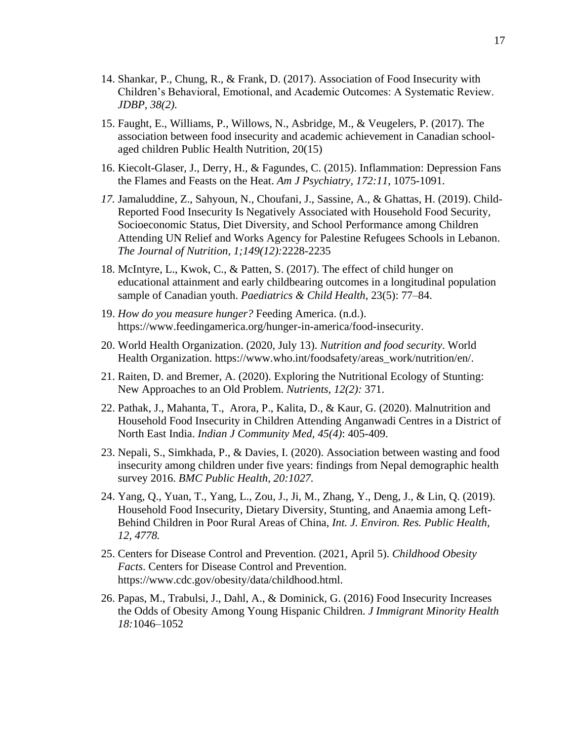- 14. Shankar, P., Chung, R., & Frank, D. (2017). Association of Food Insecurity with Children's Behavioral, Emotional, and Academic Outcomes: A Systematic Review. *JDBP, 38(2).*
- 15. Faught, E., Williams, P., Willows, N., Asbridge, M., & Veugelers, P. (2017). The association between food insecurity and academic achievement in Canadian schoolaged children Public Health Nutrition, 20(15)
- 16. Kiecolt-Glaser, J., Derry, H., & Fagundes, C. (2015). Inflammation: Depression Fans the Flames and Feasts on the Heat. *Am J Psychiatry, 172:11,* 1075-1091.
- *17.* Jamaluddine, Z., Sahyoun, N., Choufani, J., Sassine, A., & Ghattas, H. (2019). Child-Reported Food Insecurity Is Negatively Associated with Household Food Security, Socioeconomic Status, Diet Diversity, and School Performance among Children Attending UN Relief and Works Agency for Palestine Refugees Schools in Lebanon. *The Journal of Nutrition, 1;149(12):*2228-2235
- 18. McIntyre, L., Kwok, C., & Patten, S. (2017). The effect of child hunger on educational attainment and early childbearing outcomes in a longitudinal population sample of Canadian youth. *Paediatrics & Child Health*, 23(5): 77–84.
- 19. *How do you measure hunger?* Feeding America. (n.d.). https://www.feedingamerica.org/hunger-in-america/food-insecurity.
- 20. World Health Organization. (2020, July 13). *Nutrition and food security*. World Health Organization. https://www.who.int/foodsafety/areas\_work/nutrition/en/.
- 21. Raiten, D. and Bremer, A. (2020). Exploring the Nutritional Ecology of Stunting: New Approaches to an Old Problem. *Nutrients, 12(2):* 371.
- 22. Pathak, J., Mahanta, T., Arora, P., Kalita, D., & Kaur, G. (2020). Malnutrition and Household Food Insecurity in Children Attending Anganwadi Centres in a District of North East India. *Indian J Community Med, 45(4)*: 405-409.
- 23. Nepali, S., Simkhada, P., & Davies, I. (2020). Association between wasting and food insecurity among children under five years: findings from Nepal demographic health survey 2016. *BMC Public Health, 20:1027.*
- 24. Yang, Q., Yuan, T., Yang, L., Zou, J., Ji, M., Zhang, Y., Deng, J., & Lin, Q. (2019). Household Food Insecurity, Dietary Diversity, Stunting, and Anaemia among Left-Behind Children in Poor Rural Areas of China, *Int. J. Environ. Res. Public Health, 12, 4778.*
- 25. Centers for Disease Control and Prevention. (2021, April 5). *Childhood Obesity Facts*. Centers for Disease Control and Prevention. https://www.cdc.gov/obesity/data/childhood.html.
- 26. Papas, M., Trabulsi, J., Dahl, A., & Dominick, G. (2016) Food Insecurity Increases the Odds of Obesity Among Young Hispanic Children. *J Immigrant Minority Health 18:*1046–1052